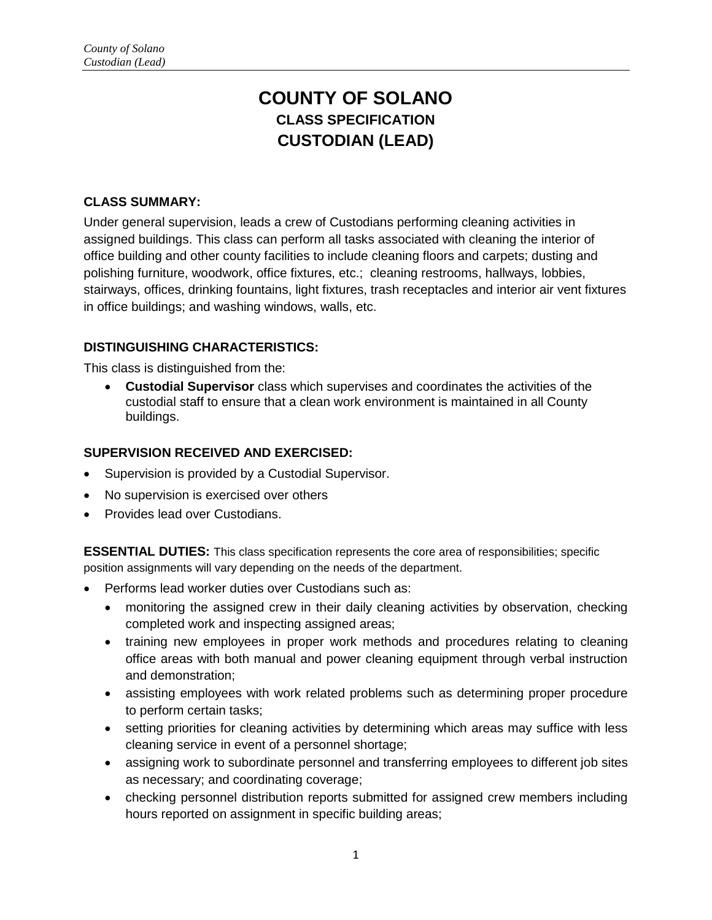# **COUNTY OF SOLANO CLASS SPECIFICATION CUSTODIAN (LEAD)**

#### **CLASS SUMMARY:**

Under general supervision, leads a crew of Custodians performing cleaning activities in assigned buildings. This class can perform all tasks associated with cleaning the interior of office building and other county facilities to include cleaning floors and carpets; dusting and polishing furniture, woodwork, office fixtures, etc.; cleaning restrooms, hallways, lobbies, stairways, offices, drinking fountains, light fixtures, trash receptacles and interior air vent fixtures in office buildings; and washing windows, walls, etc.

#### **DISTINGUISHING CHARACTERISTICS:**

This class is distinguished from the:

 **Custodial Supervisor** class which supervises and coordinates the activities of the custodial staff to ensure that a clean work environment is maintained in all County buildings.

#### **SUPERVISION RECEIVED AND EXERCISED:**

- Supervision is provided by a Custodial Supervisor.
- No supervision is exercised over others
- **•** Provides lead over Custodians.

**ESSENTIAL DUTIES:** This class specification represents the core area of responsibilities; specific position assignments will vary depending on the needs of the department.

- Performs lead worker duties over Custodians such as:
	- monitoring the assigned crew in their daily cleaning activities by observation, checking completed work and inspecting assigned areas;
	- training new employees in proper work methods and procedures relating to cleaning office areas with both manual and power cleaning equipment through verbal instruction and demonstration;
	- assisting employees with work related problems such as determining proper procedure to perform certain tasks;
	- setting priorities for cleaning activities by determining which areas may suffice with less cleaning service in event of a personnel shortage;
	- assigning work to subordinate personnel and transferring employees to different job sites as necessary; and coordinating coverage;
	- checking personnel distribution reports submitted for assigned crew members including hours reported on assignment in specific building areas;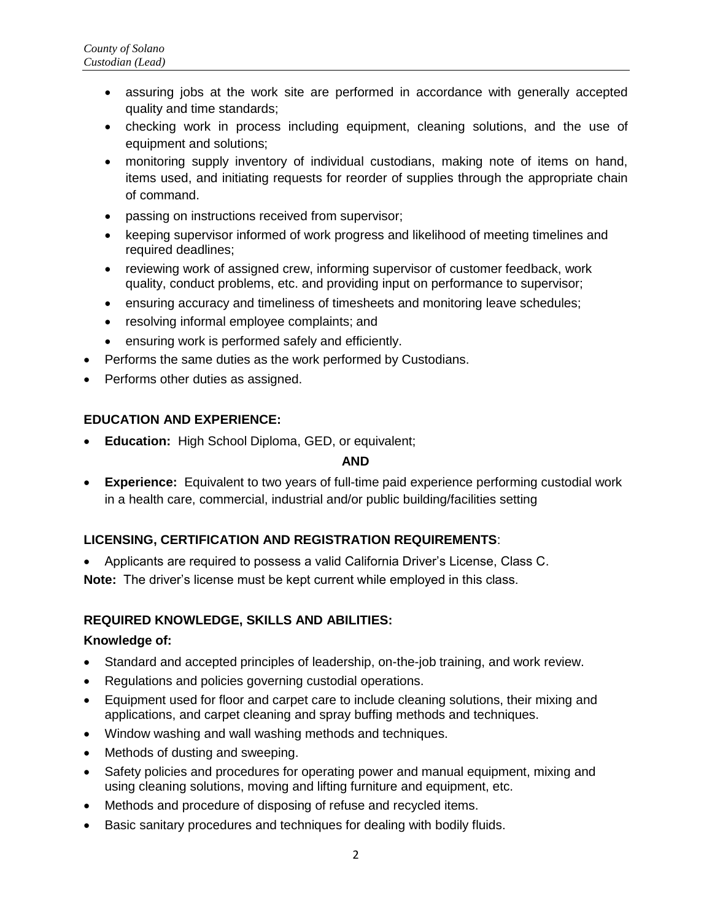- assuring jobs at the work site are performed in accordance with generally accepted quality and time standards;
- checking work in process including equipment, cleaning solutions, and the use of equipment and solutions;
- monitoring supply inventory of individual custodians, making note of items on hand, items used, and initiating requests for reorder of supplies through the appropriate chain of command.
- passing on instructions received from supervisor;
- keeping supervisor informed of work progress and likelihood of meeting timelines and required deadlines;
- reviewing work of assigned crew, informing supervisor of customer feedback, work quality, conduct problems, etc. and providing input on performance to supervisor;
- ensuring accuracy and timeliness of timesheets and monitoring leave schedules;
- resolving informal employee complaints; and
- ensuring work is performed safely and efficiently.
- Performs the same duties as the work performed by Custodians.
- Performs other duties as assigned.

# **EDUCATION AND EXPERIENCE:**

**Education:** High School Diploma, GED, or equivalent;

#### **AND**

 **Experience:** Equivalent to two years of full-time paid experience performing custodial work in a health care, commercial, industrial and/or public building/facilities setting

# **LICENSING, CERTIFICATION AND REGISTRATION REQUIREMENTS**:

- Applicants are required to possess a valid California Driver's License, Class C.
- **Note:** The driver's license must be kept current while employed in this class.

# **REQUIRED KNOWLEDGE, SKILLS AND ABILITIES:**

# **Knowledge of:**

- Standard and accepted principles of leadership, on-the-job training, and work review.
- Regulations and policies governing custodial operations.
- Equipment used for floor and carpet care to include cleaning solutions, their mixing and applications, and carpet cleaning and spray buffing methods and techniques.
- Window washing and wall washing methods and techniques.
- Methods of dusting and sweeping.
- Safety policies and procedures for operating power and manual equipment, mixing and using cleaning solutions, moving and lifting furniture and equipment, etc.
- Methods and procedure of disposing of refuse and recycled items.
- Basic sanitary procedures and techniques for dealing with bodily fluids.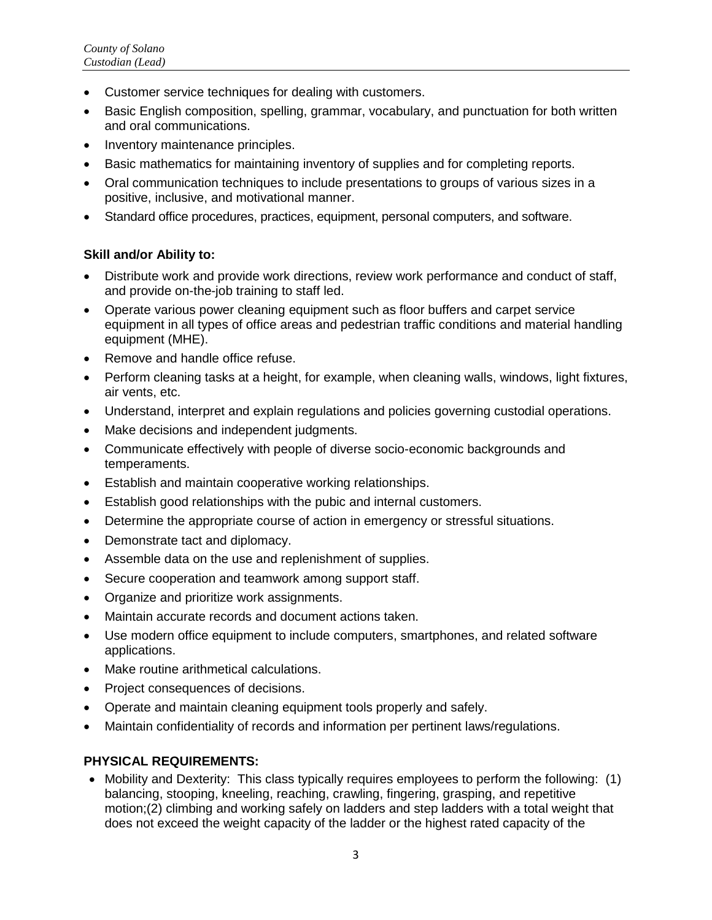- Customer service techniques for dealing with customers.
- Basic English composition, spelling, grammar, vocabulary, and punctuation for both written and oral communications.
- Inventory maintenance principles.
- Basic mathematics for maintaining inventory of supplies and for completing reports.
- Oral communication techniques to include presentations to groups of various sizes in a positive, inclusive, and motivational manner.
- Standard office procedures, practices, equipment, personal computers, and software.

#### **Skill and/or Ability to:**

- Distribute work and provide work directions, review work performance and conduct of staff, and provide on-the-job training to staff led.
- Operate various power cleaning equipment such as floor buffers and carpet service equipment in all types of office areas and pedestrian traffic conditions and material handling equipment (MHE).
- Remove and handle office refuse.
- Perform cleaning tasks at a height, for example, when cleaning walls, windows, light fixtures, air vents, etc.
- Understand, interpret and explain regulations and policies governing custodial operations.
- Make decisions and independent judgments.
- Communicate effectively with people of diverse socio-economic backgrounds and temperaments.
- Establish and maintain cooperative working relationships.
- Establish good relationships with the pubic and internal customers.
- Determine the appropriate course of action in emergency or stressful situations.
- Demonstrate tact and diplomacy.
- Assemble data on the use and replenishment of supplies.
- Secure cooperation and teamwork among support staff.
- Organize and prioritize work assignments.
- Maintain accurate records and document actions taken.
- Use modern office equipment to include computers, smartphones, and related software applications.
- Make routine arithmetical calculations.
- Project consequences of decisions.
- Operate and maintain cleaning equipment tools properly and safely.
- Maintain confidentiality of records and information per pertinent laws/regulations.

# **PHYSICAL REQUIREMENTS:**

• Mobility and Dexterity: This class typically requires employees to perform the following: (1) balancing, stooping, kneeling, reaching, crawling, fingering, grasping, and repetitive motion;(2) climbing and working safely on ladders and step ladders with a total weight that does not exceed the weight capacity of the ladder or the highest rated capacity of the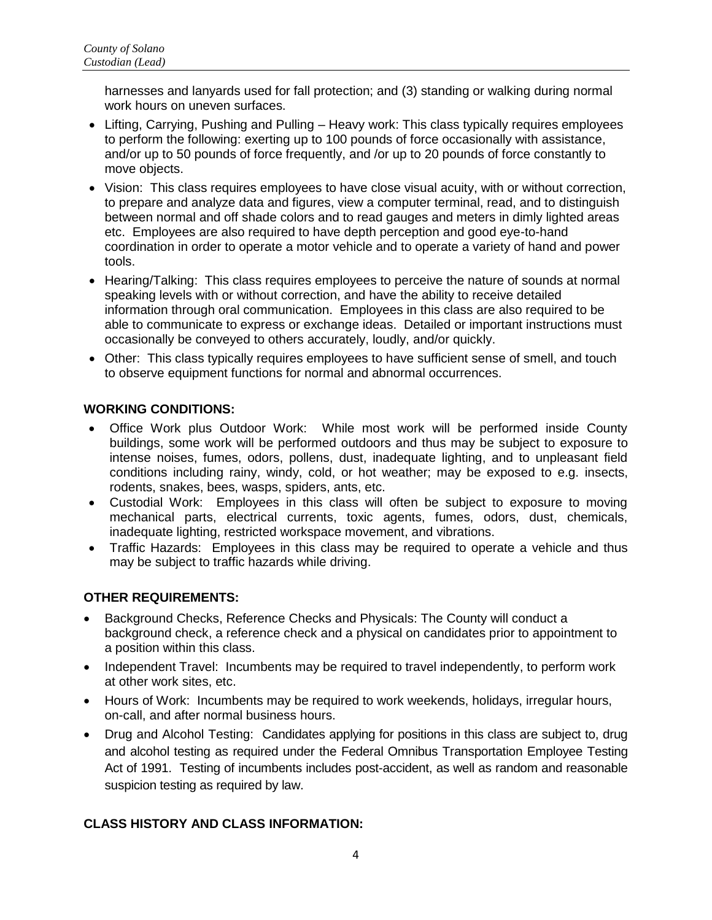harnesses and lanyards used for fall protection; and (3) standing or walking during normal work hours on uneven surfaces.

- Lifting, Carrying, Pushing and Pulling Heavy work: This class typically requires employees to perform the following: exerting up to 100 pounds of force occasionally with assistance, and/or up to 50 pounds of force frequently, and /or up to 20 pounds of force constantly to move objects.
- Vision: This class requires employees to have close visual acuity, with or without correction, to prepare and analyze data and figures, view a computer terminal, read, and to distinguish between normal and off shade colors and to read gauges and meters in dimly lighted areas etc. Employees are also required to have depth perception and good eye-to-hand coordination in order to operate a motor vehicle and to operate a variety of hand and power tools.
- Hearing/Talking: This class requires employees to perceive the nature of sounds at normal speaking levels with or without correction, and have the ability to receive detailed information through oral communication. Employees in this class are also required to be able to communicate to express or exchange ideas. Detailed or important instructions must occasionally be conveyed to others accurately, loudly, and/or quickly.
- Other: This class typically requires employees to have sufficient sense of smell, and touch to observe equipment functions for normal and abnormal occurrences.

#### **WORKING CONDITIONS:**

- Office Work plus Outdoor Work: While most work will be performed inside County buildings, some work will be performed outdoors and thus may be subject to exposure to intense noises, fumes, odors, pollens, dust, inadequate lighting, and to unpleasant field conditions including rainy, windy, cold, or hot weather; may be exposed to e.g. insects, rodents, snakes, bees, wasps, spiders, ants, etc.
- Custodial Work: Employees in this class will often be subject to exposure to moving mechanical parts, electrical currents, toxic agents, fumes, odors, dust, chemicals, inadequate lighting, restricted workspace movement, and vibrations.
- Traffic Hazards: Employees in this class may be required to operate a vehicle and thus may be subject to traffic hazards while driving.

# **OTHER REQUIREMENTS:**

- Background Checks, Reference Checks and Physicals: The County will conduct a background check, a reference check and a physical on candidates prior to appointment to a position within this class.
- Independent Travel: Incumbents may be required to travel independently, to perform work at other work sites, etc.
- Hours of Work: Incumbents may be required to work weekends, holidays, irregular hours, on-call, and after normal business hours.
- Drug and Alcohol Testing: Candidates applying for positions in this class are subject to, drug and alcohol testing as required under the Federal Omnibus Transportation Employee Testing Act of 1991. Testing of incumbents includes post-accident, as well as random and reasonable suspicion testing as required by law.

# **CLASS HISTORY AND CLASS INFORMATION:**